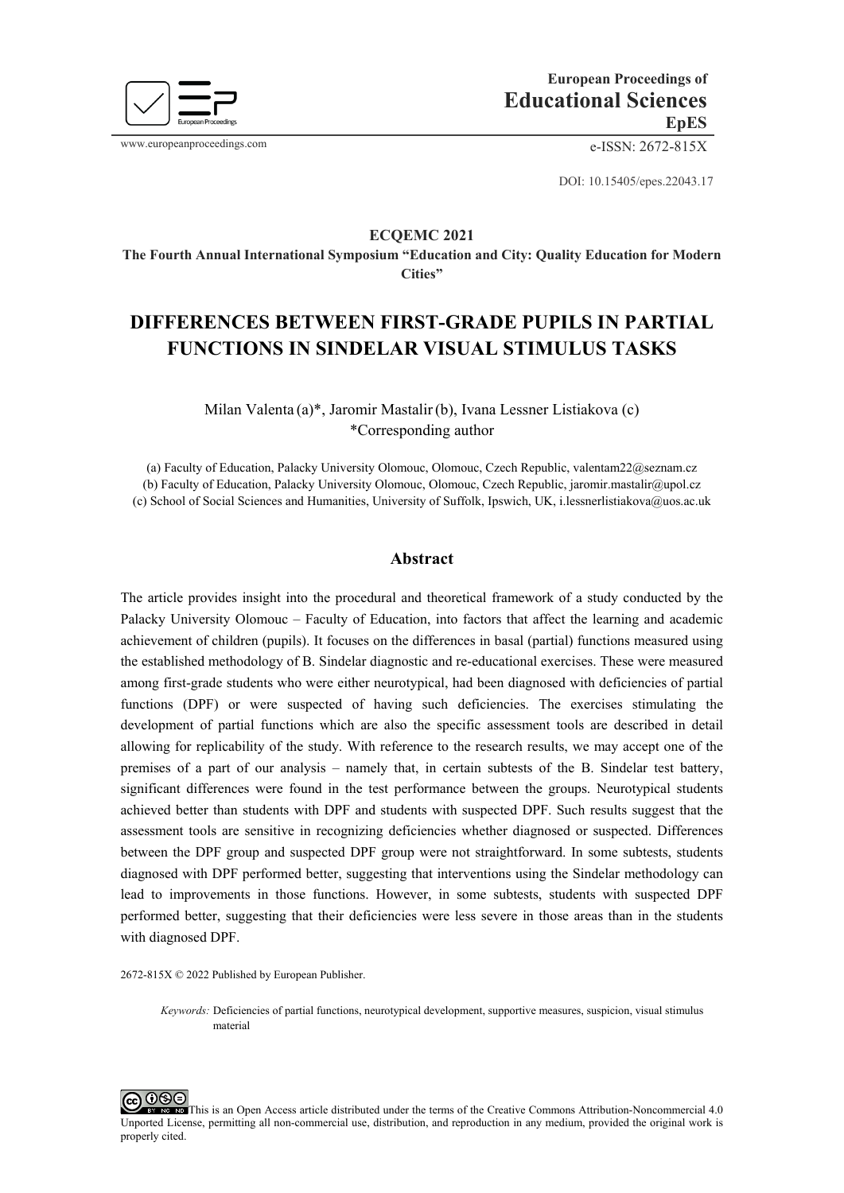

www.europeanproceedings.com e-ISSN: 2672-815X

DOI: 10.15405/epes.22043.17

## **ECQEMС 2021**

**The Fourth Annual International Symposium "Education and City: Quality Education for Modern Cities"**

# **DIFFERENCES BETWEEN FIRST-GRADE PUPILS IN PARTIAL FUNCTIONS IN SINDELAR VISUAL STIMULUS TASKS**

Milan Valenta (a)\*, Jaromir Mastalir(b), Ivana Lessner Listiakova (c) \*Corresponding author

(a) Faculty of Education, Palacky University Olomouc, Olomouc, Czech Republic, valentam22@seznam.cz (b) Faculty of Education, Palacky University Olomouc, Olomouc, Czech Republic, jaromir.mastalir@upol.cz (c) School of Social Sciences and Humanities, University of Suffolk, Ipswich, UK[, i.lessnerlistiakova@uos.ac.uk](mailto:i.lessnerlistiakova@uos.ac.uk)

# **Abstract**

The article provides insight into the procedural and theoretical framework of a study conducted by the Palacky University Olomouc – Faculty of Education, into factors that affect the learning and academic achievement of children (pupils). It focuses on the differences in basal (partial) functions measured using the established methodology of B. Sindelar diagnostic and re-educational exercises. These were measured among first-grade students who were either neurotypical, had been diagnosed with deficiencies of partial functions (DPF) or were suspected of having such deficiencies. The exercises stimulating the development of partial functions which are also the specific assessment tools are described in detail allowing for replicability of the study. With reference to the research results, we may accept one of the premises of a part of our analysis – namely that, in certain subtests of the B. Sindelar test battery, significant differences were found in the test performance between the groups. Neurotypical students achieved better than students with DPF and students with suspected DPF. Such results suggest that the assessment tools are sensitive in recognizing deficiencies whether diagnosed or suspected. Differences between the DPF group and suspected DPF group were not straightforward. In some subtests, students diagnosed with DPF performed better, suggesting that interventions using the Sindelar methodology can lead to improvements in those functions. However, in some subtests, students with suspected DPF performed better, suggesting that their deficiencies were less severe in those areas than in the students with diagnosed DPF.

2672-815X © 2022 Published by European Publisher.

*Keywords:* Deficiencies of partial functions, neurotypical development, supportive measures, suspicion, visual stimulus material

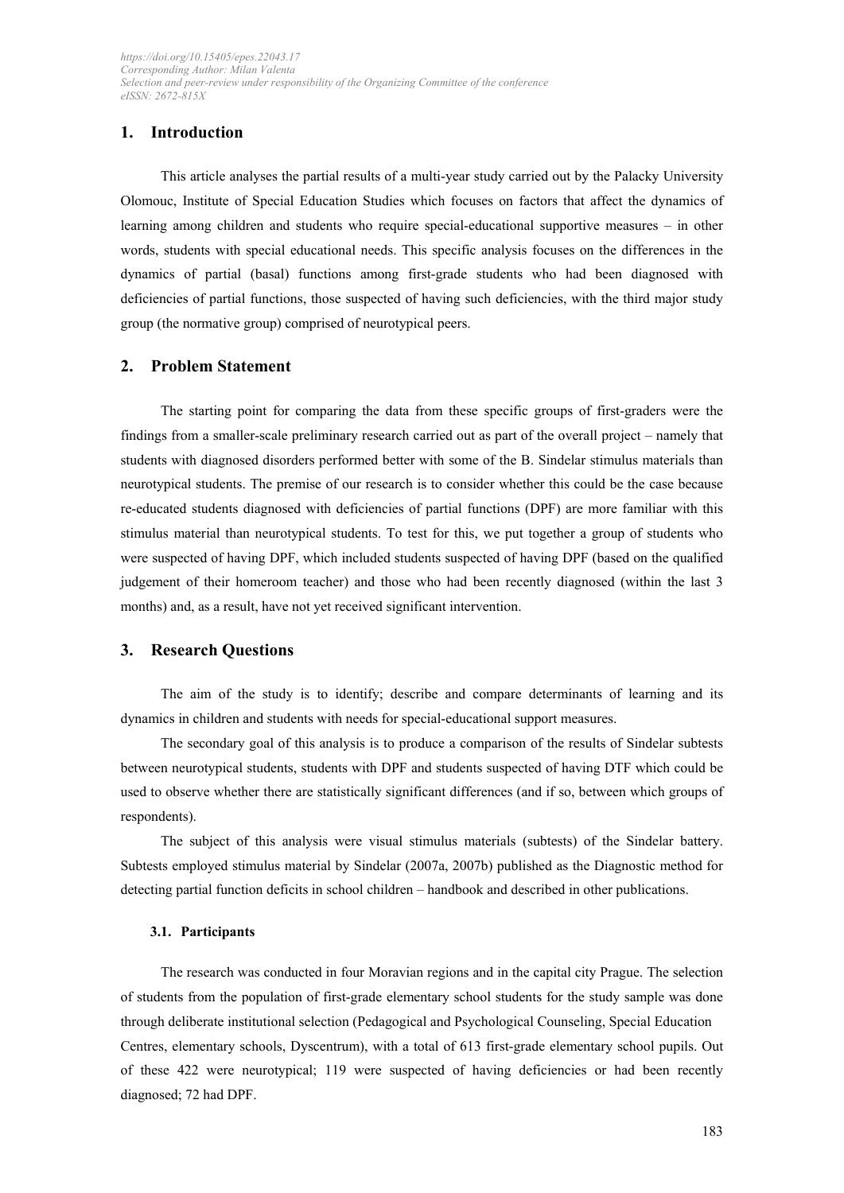# **1. Introduction**

This article analyses the partial results of a multi-year study carried out by the Palacky University Olomouc, Institute of Special Education Studies which focuses on factors that affect the dynamics of learning among children and students who require special-educational supportive measures – in other words, students with special educational needs. This specific analysis focuses on the differences in the dynamics of partial (basal) functions among first-grade students who had been diagnosed with deficiencies of partial functions, those suspected of having such deficiencies, with the third major study group (the normative group) comprised of neurotypical peers.

## **2. Problem Statement**

The starting point for comparing the data from these specific groups of first-graders were the findings from a smaller-scale preliminary research carried out as part of the overall project – namely that students with diagnosed disorders performed better with some of the B. Sindelar stimulus materials than neurotypical students. The premise of our research is to consider whether this could be the case because re-educated students diagnosed with deficiencies of partial functions (DPF) are more familiar with this stimulus material than neurotypical students. To test for this, we put together a group of students who were suspected of having DPF, which included students suspected of having DPF (based on the qualified judgement of their homeroom teacher) and those who had been recently diagnosed (within the last 3 months) and, as a result, have not yet received significant intervention.

## **3. Research Questions**

The aim of the study is to identify; describe and compare determinants of learning and its dynamics in children and students with needs for special-educational support measures.

The secondary goal of this analysis is to produce a comparison of the results of Sindelar subtests between neurotypical students, students with DPF and students suspected of having DTF which could be used to observe whether there are statistically significant differences (and if so, between which groups of respondents).

The subject of this analysis were visual stimulus materials (subtests) of the Sindelar battery. Subtests employed stimulus material by Sindelar (2007a, 2007b) published as the Diagnostic method for detecting partial function deficits in school children – handbook and described in other publications.

## **3.1. Participants**

The research was conducted in four Moravian regions and in the capital city Prague. The selection of students from the population of first-grade elementary school students for the study sample was done through deliberate institutional selection (Pedagogical and Psychological Counseling, Special Education Centres, elementary schools, Dyscentrum), with a total of 613 first-grade elementary school pupils. Out of these 422 were neurotypical; 119 were suspected of having deficiencies or had been recently diagnosed; 72 had DPF.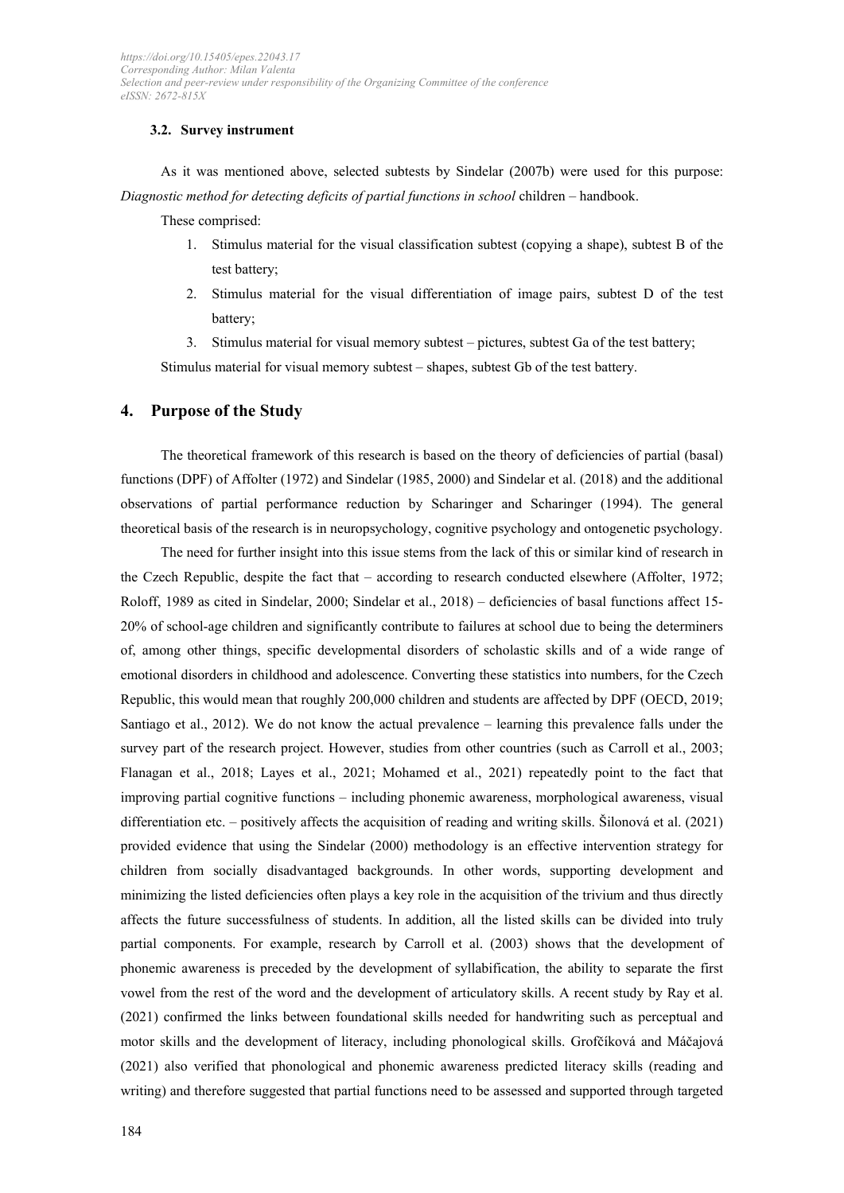#### **3.2. Survey instrument**

As it was mentioned above, selected subtests by Sindelar (2007b) were used for this purpose: *Diagnostic method for detecting deficits of partial functions in school* children – handbook.

These comprised:

- 1. Stimulus material for the visual classification subtest (copying a shape), subtest B of the test battery;
- 2. Stimulus material for the visual differentiation of image pairs, subtest D of the test battery;

3. Stimulus material for visual memory subtest – pictures, subtest Ga of the test battery; Stimulus material for visual memory subtest – shapes, subtest Gb of the test battery.

#### **4. Purpose of the Study**

The theoretical framework of this research is based on the theory of deficiencies of partial (basal) functions (DPF) of Affolter (1972) and Sindelar (1985, 2000) and Sindelar et al. (2018) and the additional observations of partial performance reduction by Scharinger and Scharinger (1994). The general theoretical basis of the research is in neuropsychology, cognitive psychology and ontogenetic psychology.

The need for further insight into this issue stems from the lack of this or similar kind of research in the Czech Republic, despite the fact that – according to research conducted elsewhere (Affolter, 1972; Roloff, 1989 as cited in Sindelar, 2000; Sindelar et al., 2018) – deficiencies of basal functions affect 15- 20% of school-age children and significantly contribute to failures at school due to being the determiners of, among other things, specific developmental disorders of scholastic skills and of a wide range of emotional disorders in childhood and adolescence. Converting these statistics into numbers, for the Czech Republic, this would mean that roughly 200,000 children and students are affected by DPF (OECD, 2019; Santiago et al., 2012). We do not know the actual prevalence – learning this prevalence falls under the survey part of the research project. However, studies from other countries (such as Carroll et al., 2003; Flanagan et al., 2018; Layes et al., 2021; Mohamed et al., 2021) repeatedly point to the fact that improving partial cognitive functions – including phonemic awareness, morphological awareness, visual differentiation etc. – positively affects the acquisition of reading and writing skills. Šilonová et al. (2021) provided evidence that using the Sindelar (2000) methodology is an effective intervention strategy for children from socially disadvantaged backgrounds. In other words, supporting development and minimizing the listed deficiencies often plays a key role in the acquisition of the trivium and thus directly affects the future successfulness of students. In addition, all the listed skills can be divided into truly partial components. For example, research by Carroll et al. (2003) shows that the development of phonemic awareness is preceded by the development of syllabification, the ability to separate the first vowel from the rest of the word and the development of articulatory skills. A recent study by Ray et al. (2021) confirmed the links between foundational skills needed for handwriting such as perceptual and motor skills and the development of literacy, including phonological skills. Grofčíková and Máčajová (2021) also verified that phonological and phonemic awareness predicted literacy skills (reading and writing) and therefore suggested that partial functions need to be assessed and supported through targeted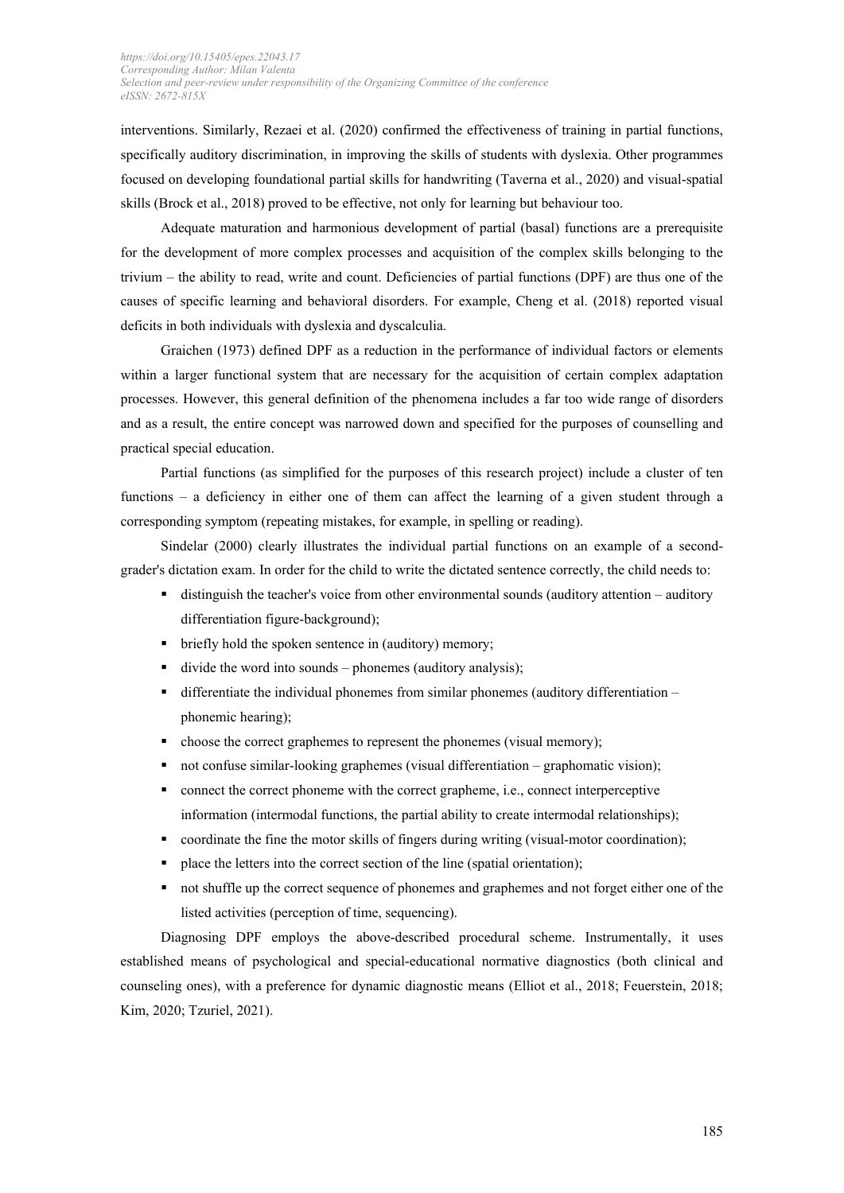interventions. Similarly, Rezaei et al. (2020) confirmed the effectiveness of training in partial functions, specifically auditory discrimination, in improving the skills of students with dyslexia. Other programmes focused on developing foundational partial skills for handwriting (Taverna et al., 2020) and visual-spatial skills (Brock et al., 2018) proved to be effective, not only for learning but behaviour too.

Adequate maturation and harmonious development of partial (basal) functions are a prerequisite for the development of more complex processes and acquisition of the complex skills belonging to the trivium – the ability to read, write and count. Deficiencies of partial functions (DPF) are thus one of the causes of specific learning and behavioral disorders. For example, Cheng et al. (2018) reported visual deficits in both individuals with dyslexia and dyscalculia.

Graichen (1973) defined DPF as a reduction in the performance of individual factors or elements within a larger functional system that are necessary for the acquisition of certain complex adaptation processes. However, this general definition of the phenomena includes a far too wide range of disorders and as a result, the entire concept was narrowed down and specified for the purposes of counselling and practical special education.

Partial functions (as simplified for the purposes of this research project) include a cluster of ten functions – a deficiency in either one of them can affect the learning of a given student through a corresponding symptom (repeating mistakes, for example, in spelling or reading).

Sindelar (2000) clearly illustrates the individual partial functions on an example of a secondgrader's dictation exam. In order for the child to write the dictated sentence correctly, the child needs to:

- distinguish the teacher's voice from other environmental sounds (auditory attention auditory differentiation figure-background);
- briefly hold the spoken sentence in (auditory) memory;
- $\blacksquare$  divide the word into sounds phonemes (auditory analysis);
- $\blacksquare$  differentiate the individual phonemes from similar phonemes (auditory differentiation phonemic hearing);
- choose the correct graphemes to represent the phonemes (visual memory);
- not confuse similar-looking graphemes (visual differentiation graphomatic vision);
- connect the correct phoneme with the correct grapheme, i.e., connect interperceptive information (intermodal functions, the partial ability to create intermodal relationships);
- coordinate the fine the motor skills of fingers during writing (visual-motor coordination);
- $\blacksquare$  place the letters into the correct section of the line (spatial orientation);
- not shuffle up the correct sequence of phonemes and graphemes and not forget either one of the listed activities (perception of time, sequencing).

Diagnosing DPF employs the above-described procedural scheme. Instrumentally, it uses established means of psychological and special-educational normative diagnostics (both clinical and counseling ones), with a preference for dynamic diagnostic means (Elliot et al., 2018; Feuerstein, 2018; Kim, 2020; Tzuriel, 2021).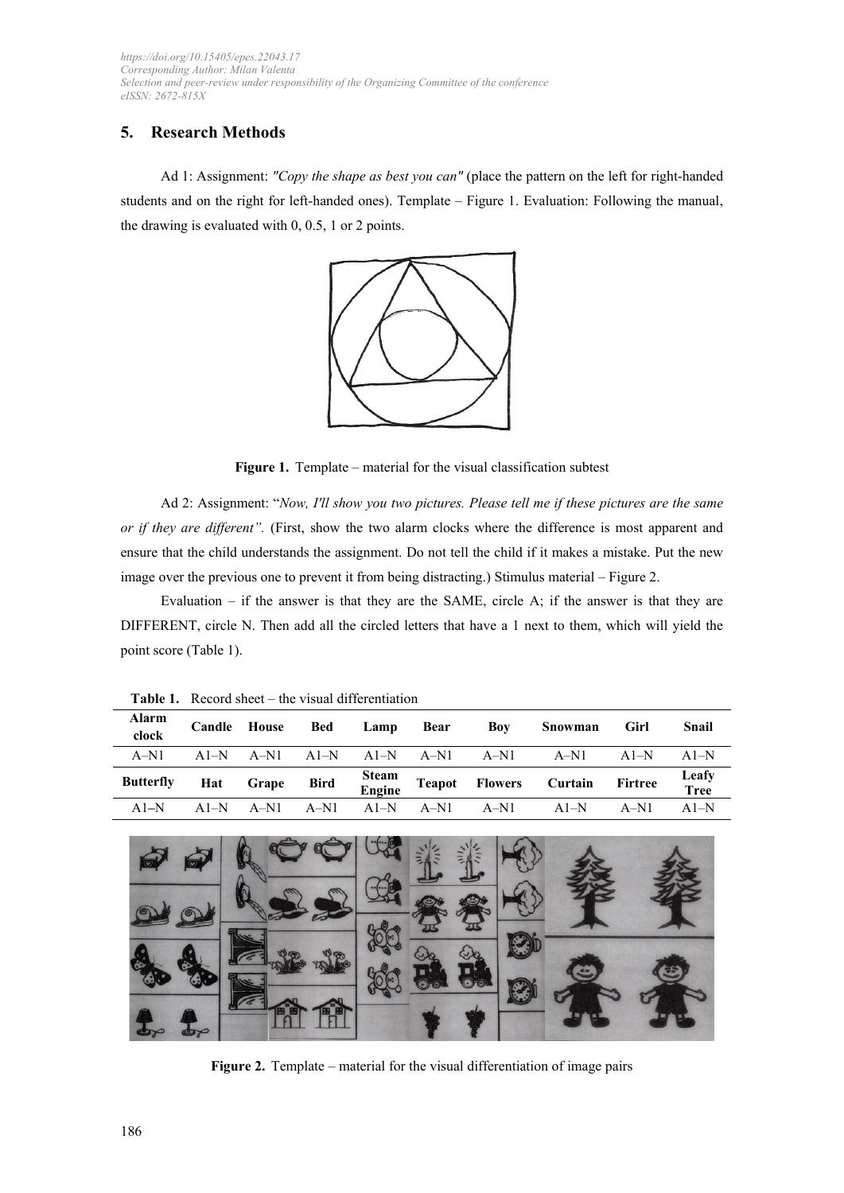# **5. Research Methods**

Ad 1: Assignment: *"Copy the shape as best you can"* (place the pattern on the left for right-handed students and on the right for left-handed ones). Template – Figure 1. Evaluation: Following the manual, the drawing is evaluated with 0, 0.5, 1 or 2 points.



Figure 1. Template – material for the visual classification subtest

Ad 2: Assignment: "*Now, I'll show you two pictures. Please tell me if these pictures are the same or if they are different".* (First, show the two alarm clocks where the difference is most apparent and ensure that the child understands the assignment. Do not tell the child if it makes a mistake. Put the new image over the previous one to prevent it from being distracting.) Stimulus material – Figure 2.

Evaluation  $-$  if the answer is that they are the SAME, circle A; if the answer is that they are DIFFERENT, circle N. Then add all the circled letters that have a 1 next to them, which will yield the point score (Table 1).

| Alarm<br>clock   |        | Candle House   | Bed    | Lamp Bear | Boy                                              | Snowman                                        | Girl   | Snail                |
|------------------|--------|----------------|--------|-----------|--------------------------------------------------|------------------------------------------------|--------|----------------------|
| $A-N1$           |        |                |        |           | $A1-N$ $A-N1$ $A1-N$ $A1-N$ $A-N1$ $A-N1$ $A-N1$ |                                                | $A1-N$ | $A1-N$               |
| <b>Butterfly</b> |        | Hat Grape Bird |        |           |                                                  | Steam<br>Engine Teapot Flowers Curtain Firtree |        | Leafy<br><b>Tree</b> |
| $A1-N$           | $A1-N$ | $A-N1$         | $A-N1$ | $A1-N$    | $A-N1$ $A-N1$                                    | A $1-N$                                        | $A-N1$ | $A1-N$               |

**Table 1.** Record sheet – the visual differentiation



Figure 2. Template – material for the visual differentiation of image pairs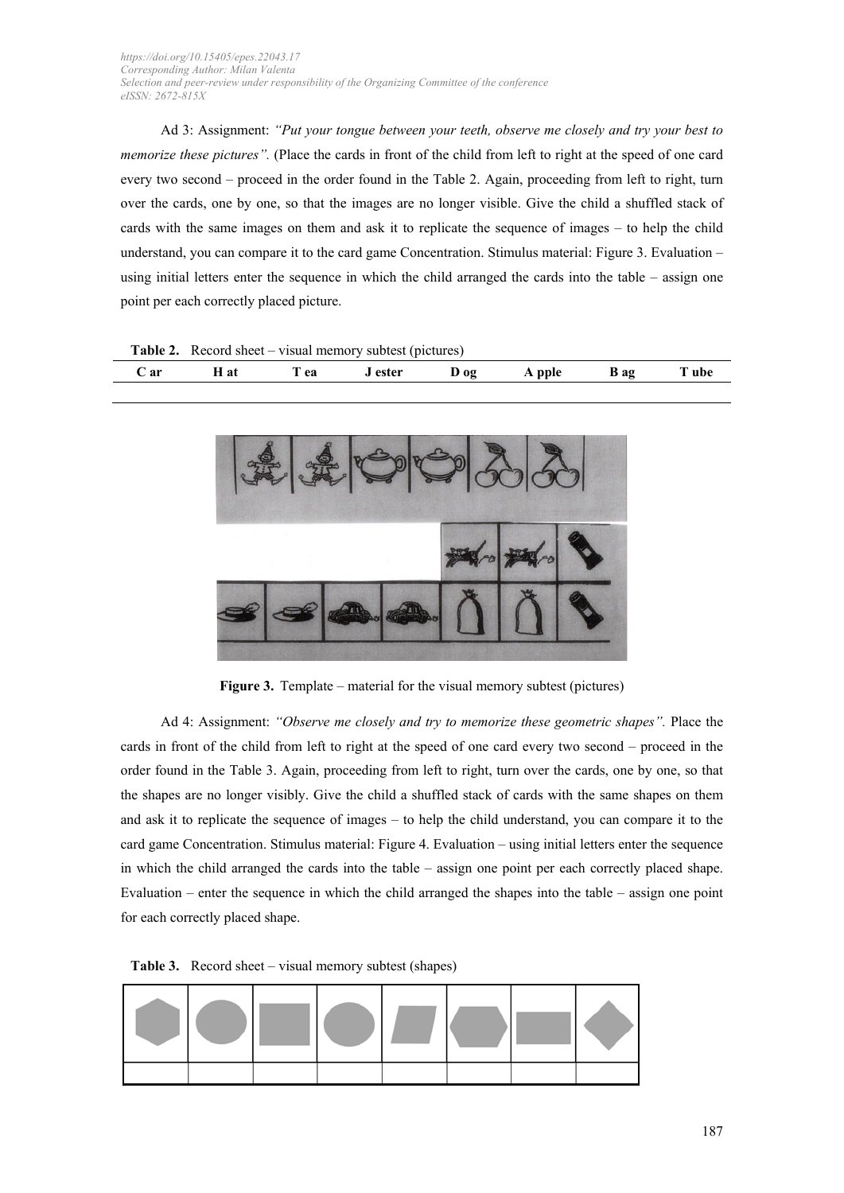Ad 3: Assignment: *"Put your tongue between your teeth, observe me closely and try your best to memorize these pictures".* (Place the cards in front of the child from left to right at the speed of one card every two second – proceed in the order found in the Table 2. Again, proceeding from left to right, turn over the cards, one by one, so that the images are no longer visible. Give the child a shuffled stack of cards with the same images on them and ask it to replicate the sequence of images – to help the child understand, you can compare it to the card game Concentration. Stimulus material: Figure 3. Evaluation – using initial letters enter the sequence in which the child arranged the cards into the table – assign one point per each correctly placed picture.

| <b>Table 2.</b> Record sheet – visual memory subtest (pictures) |      |      |         |  |               |  |       |
|-----------------------------------------------------------------|------|------|---------|--|---------------|--|-------|
| C ar                                                            | H at | T ea | J ester |  | Dog Apple Bag |  | T ube |



**Figure 3.** Template – material for the visual memory subtest (pictures)

Ad 4: Assignment: *"Observe me closely and try to memorize these geometric shapes".* Place the cards in front of the child from left to right at the speed of one card every two second – proceed in the order found in the Table 3. Again, proceeding from left to right, turn over the cards, one by one, so that the shapes are no longer visibly. Give the child a shuffled stack of cards with the same shapes on them and ask it to replicate the sequence of images – to help the child understand, you can compare it to the card game Concentration. Stimulus material: Figure 4. Evaluation – using initial letters enter the sequence in which the child arranged the cards into the table – assign one point per each correctly placed shape. Evaluation – enter the sequence in which the child arranged the shapes into the table – assign one point for each correctly placed shape.

**Table 3.** Record sheet – visual memory subtest (shapes)

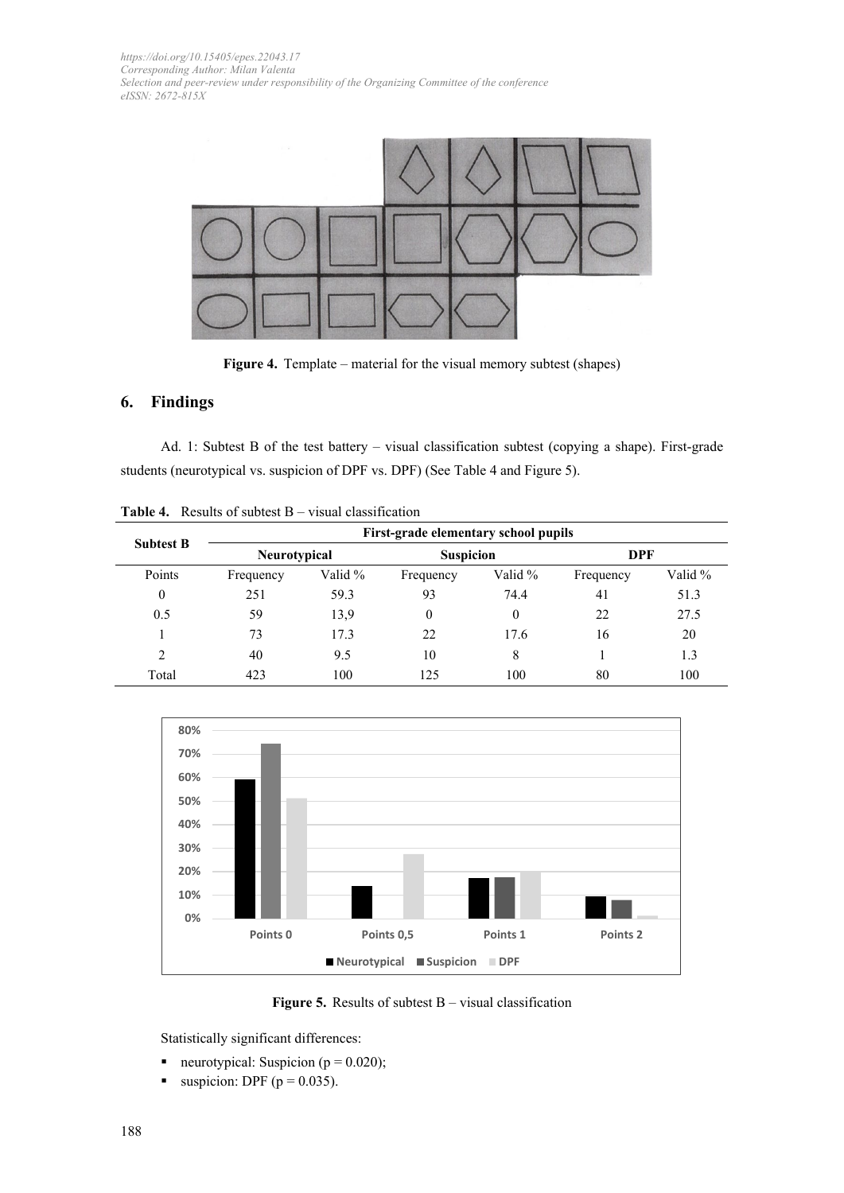

**Figure 4.** Template – material for the visual memory subtest (shapes)

# **6. Findings**

Ad. 1: Subtest B of the test battery – visual classification subtest (copying a shape). First-grade students (neurotypical vs. suspicion of DPF vs. DPF) (See Table 4 and Figure 5).

|                  | First-grade elementary school pupils |         |                  |         |            |         |  |  |
|------------------|--------------------------------------|---------|------------------|---------|------------|---------|--|--|
| <b>Subtest B</b> | Neurotypical                         |         | <b>Suspicion</b> |         | <b>DPF</b> |         |  |  |
| Points           | Frequency                            | Valid % | Frequency        | Valid % | Frequency  | Valid % |  |  |
| $\mathbf{0}$     | 251                                  | 59.3    | 93               | 74.4    | 41         | 51.3    |  |  |
| 0.5              | 59                                   | 13,9    | 0                | 0       | 22         | 27.5    |  |  |
|                  | 73                                   | 17.3    | 22               | 17.6    | 16         | 20      |  |  |
| C                | 40                                   | 9.5     | 10               | 8       |            | 1.3     |  |  |
| Total            | 423                                  | 100     | 125              | 100     | 80         | 100     |  |  |

**Table 4.** Results of subtest B – visual classification



**Figure 5.** Results of subtest B – visual classification

Statistically significant differences:

- neurotypical: Suspicion ( $p = 0.020$ );
- $\blacksquare$  suspicion: DPF (p = 0.035).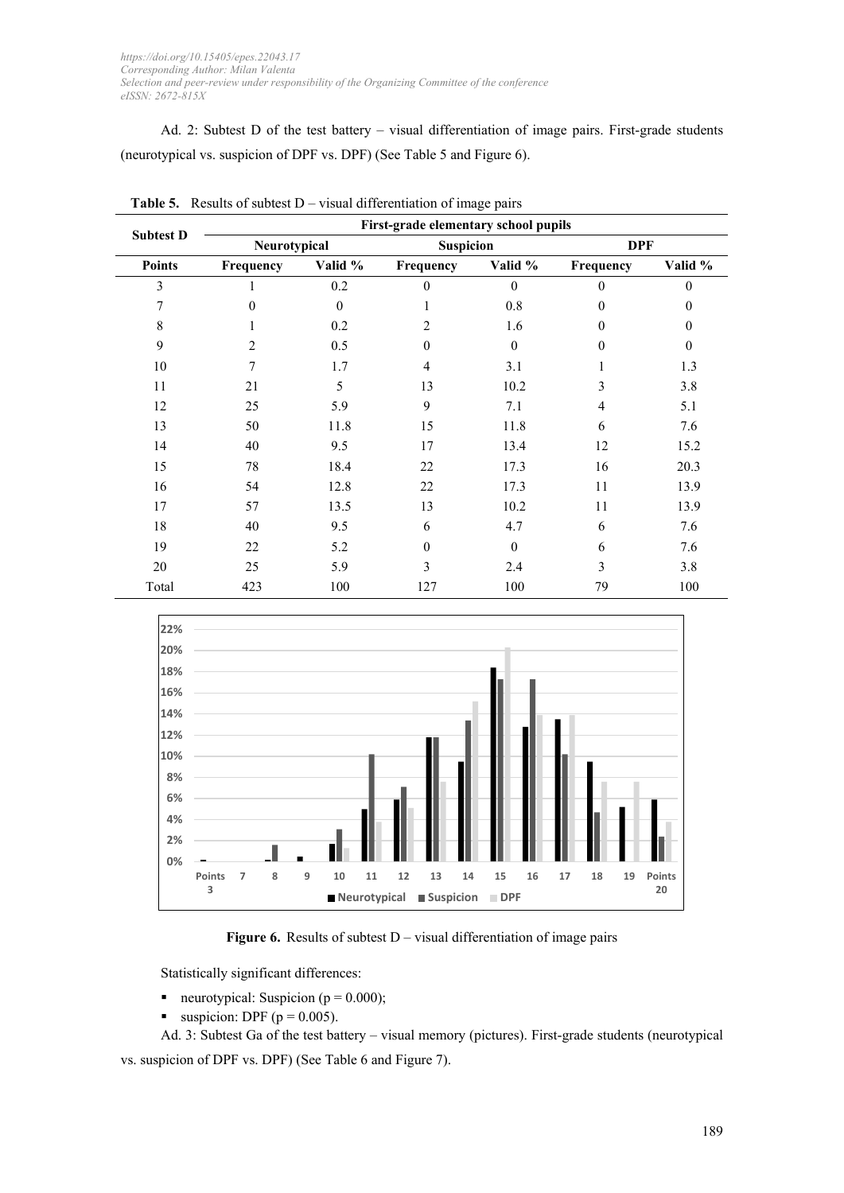Ad. 2: Subtest D of the test battery – visual differentiation of image pairs. First-grade students (neurotypical vs. suspicion of DPF vs. DPF) (See Table 5 and Figure 6).

|                  | First-grade elementary school pupils |          |                  |          |                |              |  |  |
|------------------|--------------------------------------|----------|------------------|----------|----------------|--------------|--|--|
| <b>Subtest D</b> | Neurotypical                         |          | <b>Suspicion</b> |          | <b>DPF</b>     |              |  |  |
| <b>Points</b>    | Frequency                            | Valid %  | Frequency        | Valid %  | Frequency      | Valid %      |  |  |
| 3                |                                      | 0.2      | $\mathbf{0}$     | $\Omega$ | $\theta$       | $\mathbf{0}$ |  |  |
| 7                | $\Omega$                             | $\theta$ | 1                | 0.8      | $\theta$       | $\mathbf{0}$ |  |  |
| 8                | 1                                    | 0.2      | $\overline{2}$   | 1.6      | $\theta$       | $\mathbf{0}$ |  |  |
| 9                | 2                                    | 0.5      | $\mathbf{0}$     | $\theta$ | $\mathbf{0}$   | $\mathbf{0}$ |  |  |
| 10               | 7                                    | 1.7      | $\overline{4}$   | 3.1      | 1              | 1.3          |  |  |
| 11               | 21                                   | 5        | 13               | 10.2     | 3              | 3.8          |  |  |
| 12               | 25                                   | 5.9      | 9                | 7.1      | $\overline{4}$ | 5.1          |  |  |
| 13               | 50                                   | 11.8     | 15               | 11.8     | 6              | 7.6          |  |  |
| 14               | 40                                   | 9.5      | 17               | 13.4     | 12             | 15.2         |  |  |
| 15               | 78                                   | 18.4     | 22               | 17.3     | 16             | 20.3         |  |  |
| 16               | 54                                   | 12.8     | 22               | 17.3     | 11             | 13.9         |  |  |
| 17               | 57                                   | 13.5     | 13               | 10.2     | 11             | 13.9         |  |  |
| 18               | 40                                   | 9.5      | 6                | 4.7      | 6              | 7.6          |  |  |
| 19               | 22                                   | 5.2      | $\boldsymbol{0}$ | $\theta$ | 6              | 7.6          |  |  |
| 20               | 25                                   | 5.9      | 3                | 2.4      | 3              | 3.8          |  |  |
| Total            | 423                                  | 100      | 127              | 100      | 79             | 100          |  |  |

**Table 5.** Results of subtest D – visual differentiation of image pairs



**Figure 6.** Results of subtest D – visual differentiation of image pairs

Statistically significant differences:

- neurotypical: Suspicion ( $p = 0.000$ );
- uspicion: DPF ( $p = 0.005$ ).

Ad. 3: Subtest Ga of the test battery – visual memory (pictures). First-grade students (neurotypical vs. suspicion of DPF vs. DPF) (See Table 6 and Figure 7).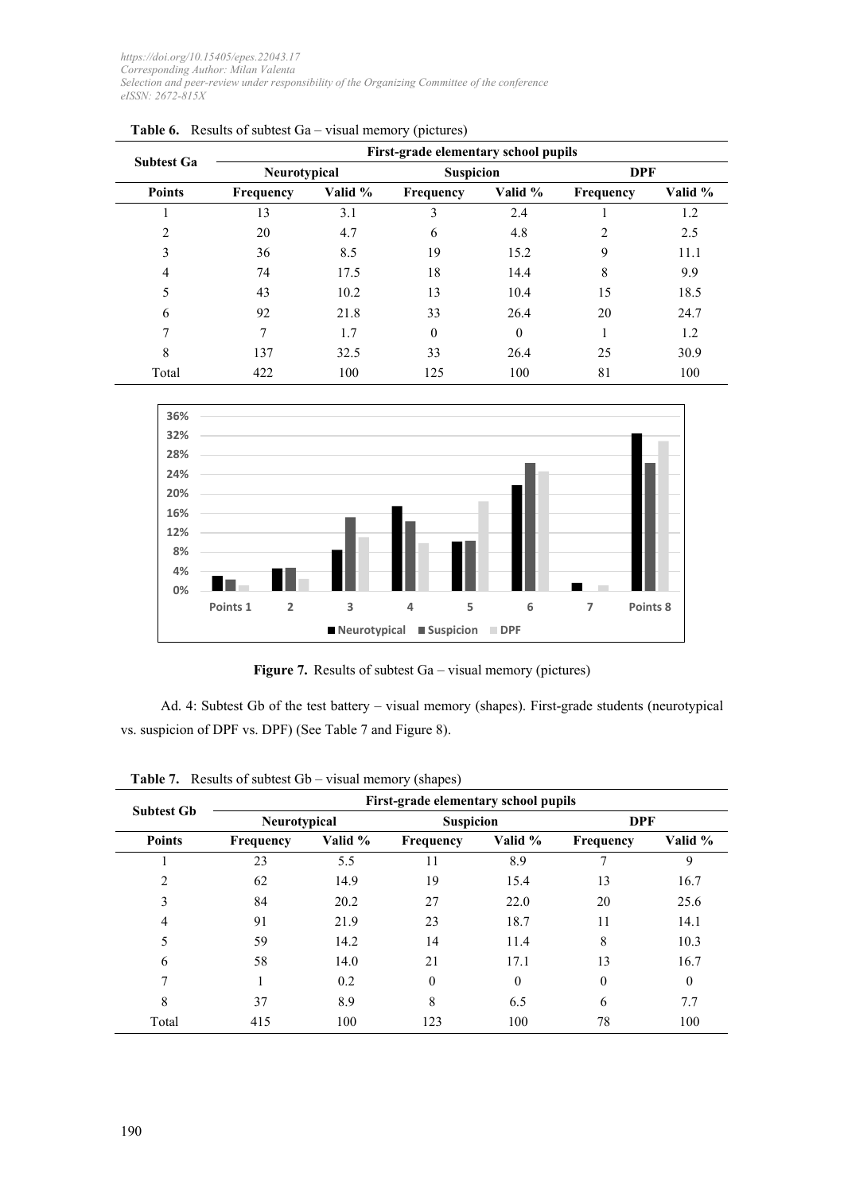|                   | First-grade elementary school pupils |                      |                  |          |            |         |  |  |
|-------------------|--------------------------------------|----------------------|------------------|----------|------------|---------|--|--|
| <b>Subtest Ga</b> | Neurotypical                         |                      | <b>Suspicion</b> |          | <b>DPF</b> |         |  |  |
| <b>Points</b>     | <b>Frequency</b>                     | Valid %<br>Frequency |                  | Valid %  | Frequency  | Valid % |  |  |
|                   | 13                                   | 3.1                  | 3                | 2.4      |            | 1.2     |  |  |
| $\overline{2}$    | 20                                   | 4.7                  | 6                | 4.8      | 2          | 2.5     |  |  |
| 3                 | 36                                   | 8.5                  | 19               | 15.2     | 9          | 11.1    |  |  |
| 4                 | 74                                   | 17.5                 | 18               | 14.4     | 8          | 9.9     |  |  |
| 5                 | 43                                   | 10.2                 | 13               | 10.4     | 15         | 18.5    |  |  |
| 6                 | 92                                   | 21.8                 | 33               | 26.4     | 20         | 24.7    |  |  |
| 7                 | 7                                    | 1.7                  | $\theta$         | $\theta$ | 1          | 1.2     |  |  |
| 8                 | 137                                  | 32.5                 | 33               | 26.4     | 25         | 30.9    |  |  |
| Total             | 422                                  | 100                  | 125              | 100      | 81         | 100     |  |  |

|  | <b>Table 6.</b> Results of subtest $Ga$ – visual memory (pictures) |
|--|--------------------------------------------------------------------|
|--|--------------------------------------------------------------------|



Figure 7. Results of subtest Ga – visual memory (pictures)

Ad. 4: Subtest Gb of the test battery – visual memory (shapes). First-grade students (neurotypical vs. suspicion of DPF vs. DPF) (See Table 7 and Figure 8).

| <b>Subtest Gb</b> | First-grade elementary school pupils |         |                  |          |                  |          |  |  |
|-------------------|--------------------------------------|---------|------------------|----------|------------------|----------|--|--|
|                   | Neurotypical                         |         | <b>Suspicion</b> |          | <b>DPF</b>       |          |  |  |
| <b>Points</b>     | <b>Frequency</b>                     | Valid % | <b>Frequency</b> | Valid %  | <b>Frequency</b> | Valid %  |  |  |
|                   | 23                                   | 5.5     | 11               | 8.9      | 7                | 9        |  |  |
| 2                 | 62                                   | 14.9    | 19               | 15.4     | 13               | 16.7     |  |  |
| 3                 | 84                                   | 20.2    | 27               | 22.0     | 20               | 25.6     |  |  |
| 4                 | 91                                   | 21.9    | 23               | 18.7     | 11               | 14.1     |  |  |
| 5                 | 59                                   | 14.2    | 14               | 11.4     | 8                | 10.3     |  |  |
| 6                 | 58                                   | 14.0    | 21               | 17.1     | 13               | 16.7     |  |  |
| 7                 |                                      | 0.2     | $\theta$         | $\Omega$ | $\theta$         | $\theta$ |  |  |
| 8                 | 37                                   | 8.9     | 8                | 6.5      | 6                | 7.7      |  |  |
| Total             | 415                                  | 100     | 123              | 100      | 78               | 100      |  |  |

**Table 7.** Results of subtest Gb – visual memory (shapes)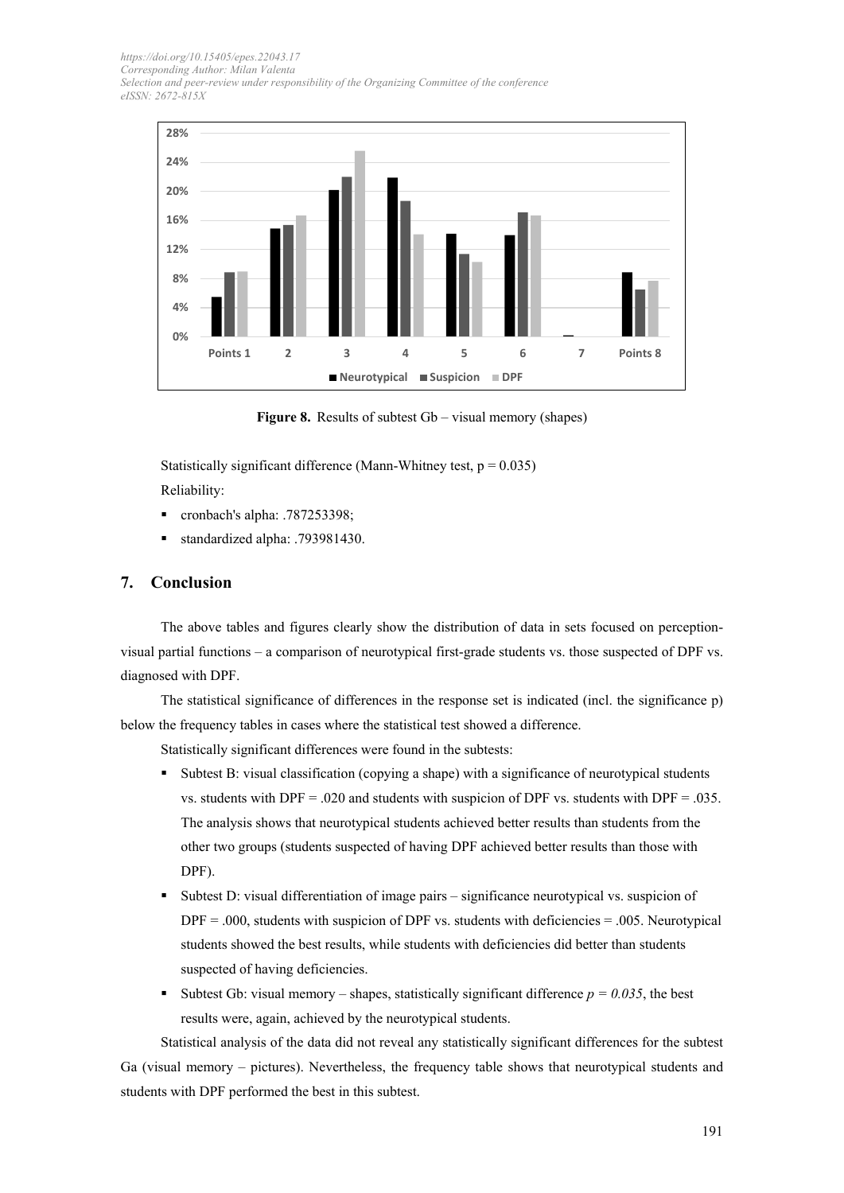

**Figure 8.** Results of subtest Gb – visual memory (shapes)

Statistically significant difference (Mann-Whitney test,  $p = 0.035$ ) Reliability:

- cronbach's alpha: .787253398;
- standardized alpha: .793981430.

# **7. Conclusion**

The above tables and figures clearly show the distribution of data in sets focused on perceptionvisual partial functions – a comparison of neurotypical first-grade students vs. those suspected of DPF vs. diagnosed with DPF.

The statistical significance of differences in the response set is indicated (incl. the significance p) below the frequency tables in cases where the statistical test showed a difference.

Statistically significant differences were found in the subtests:

- Subtest B: visual classification (copying a shape) with a significance of neurotypical students vs. students with DPF = .020 and students with suspicion of DPF vs. students with DPF = .035. The analysis shows that neurotypical students achieved better results than students from the other two groups (students suspected of having DPF achieved better results than those with DPF).
- Subtest D: visual differentiation of image pairs significance neurotypical vs. suspicion of  $DPF = 0.000$ , students with suspicion of DPF vs. students with deficiencies = .005. Neurotypical students showed the best results, while students with deficiencies did better than students suspected of having deficiencies.
- Subtest Gb: visual memory shapes, statistically significant difference  $p = 0.035$ , the best results were, again, achieved by the neurotypical students.

Statistical analysis of the data did not reveal any statistically significant differences for the subtest Ga (visual memory – pictures). Nevertheless, the frequency table shows that neurotypical students and students with DPF performed the best in this subtest.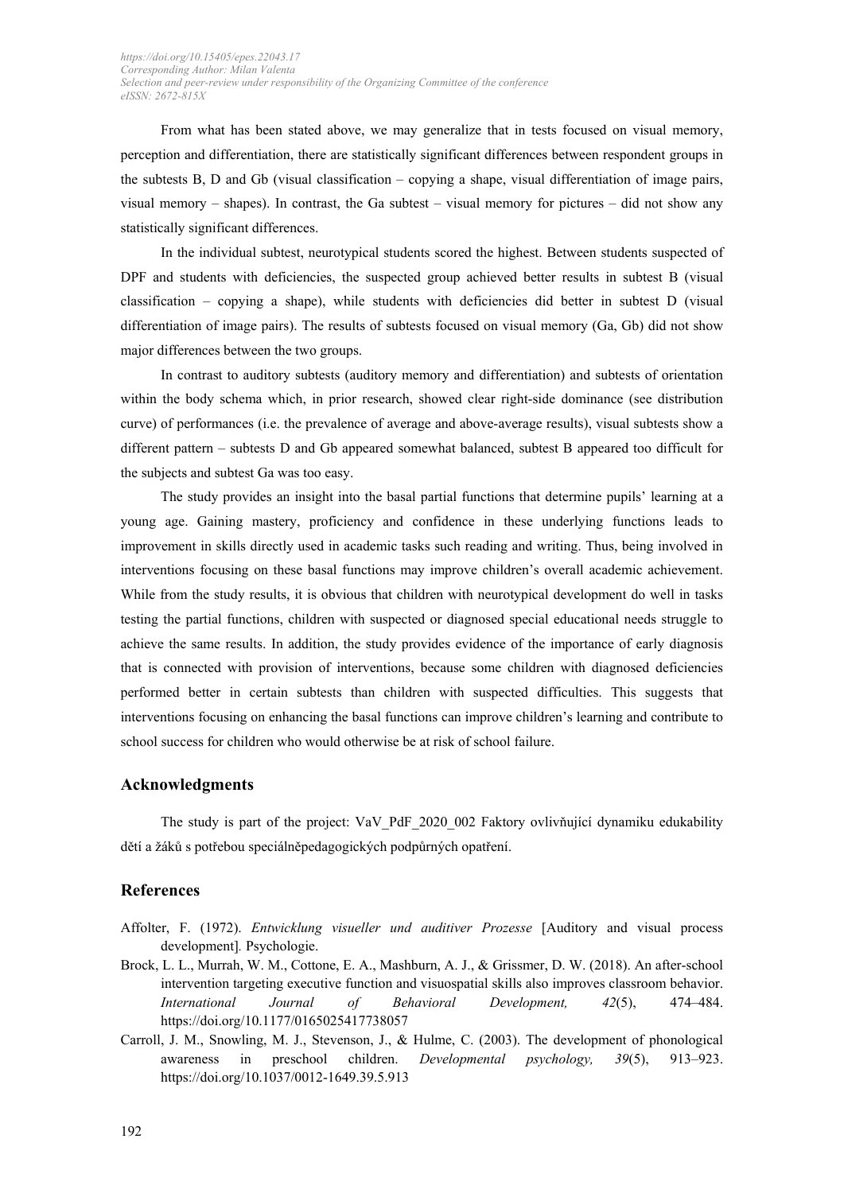From what has been stated above, we may generalize that in tests focused on visual memory, perception and differentiation, there are statistically significant differences between respondent groups in the subtests B, D and Gb (visual classification – copying a shape, visual differentiation of image pairs, visual memory – shapes). In contrast, the Ga subtest – visual memory for pictures – did not show any statistically significant differences.

In the individual subtest, neurotypical students scored the highest. Between students suspected of DPF and students with deficiencies, the suspected group achieved better results in subtest B (visual classification – copying a shape), while students with deficiencies did better in subtest D (visual differentiation of image pairs). The results of subtests focused on visual memory (Ga, Gb) did not show major differences between the two groups.

In contrast to auditory subtests (auditory memory and differentiation) and subtests of orientation within the body schema which, in prior research, showed clear right-side dominance (see distribution curve) of performances (i.e. the prevalence of average and above-average results), visual subtests show a different pattern – subtests D and Gb appeared somewhat balanced, subtest B appeared too difficult for the subjects and subtest Ga was too easy.

The study provides an insight into the basal partial functions that determine pupils' learning at a young age. Gaining mastery, proficiency and confidence in these underlying functions leads to improvement in skills directly used in academic tasks such reading and writing. Thus, being involved in interventions focusing on these basal functions may improve children's overall academic achievement. While from the study results, it is obvious that children with neurotypical development do well in tasks testing the partial functions, children with suspected or diagnosed special educational needs struggle to achieve the same results. In addition, the study provides evidence of the importance of early diagnosis that is connected with provision of interventions, because some children with diagnosed deficiencies performed better in certain subtests than children with suspected difficulties. This suggests that interventions focusing on enhancing the basal functions can improve children's learning and contribute to school success for children who would otherwise be at risk of school failure.

# **Acknowledgments**

The study is part of the project: VaV PdF 2020 002 Faktory ovlivňující dynamiku edukability dětí a žáků s potřebou speciálněpedagogických podpůrných opatření.

#### **References**

- Affolter, F. (1972). *Entwicklung visueller und auditiver Prozesse* [Auditory and visual process development]*.* Psychologie.
- Brock, L. L., Murrah, W. M., Cottone, E. A., Mashburn, A. J., & Grissmer, D. W. (2018). An after-school intervention targeting executive function and visuospatial skills also improves classroom behavior. *International Journal of Behavioral Development, 42*(5), 474–484. https://doi.org/10.1177/0165025417738057
- Carroll, J. M., Snowling, M. J., Stevenson, J., & Hulme, C. (2003). The development of phonological awareness in preschool children. *Developmental psychology, 39*(5), 913–923. https://doi.org/10.1037/0012-1649.39.5.913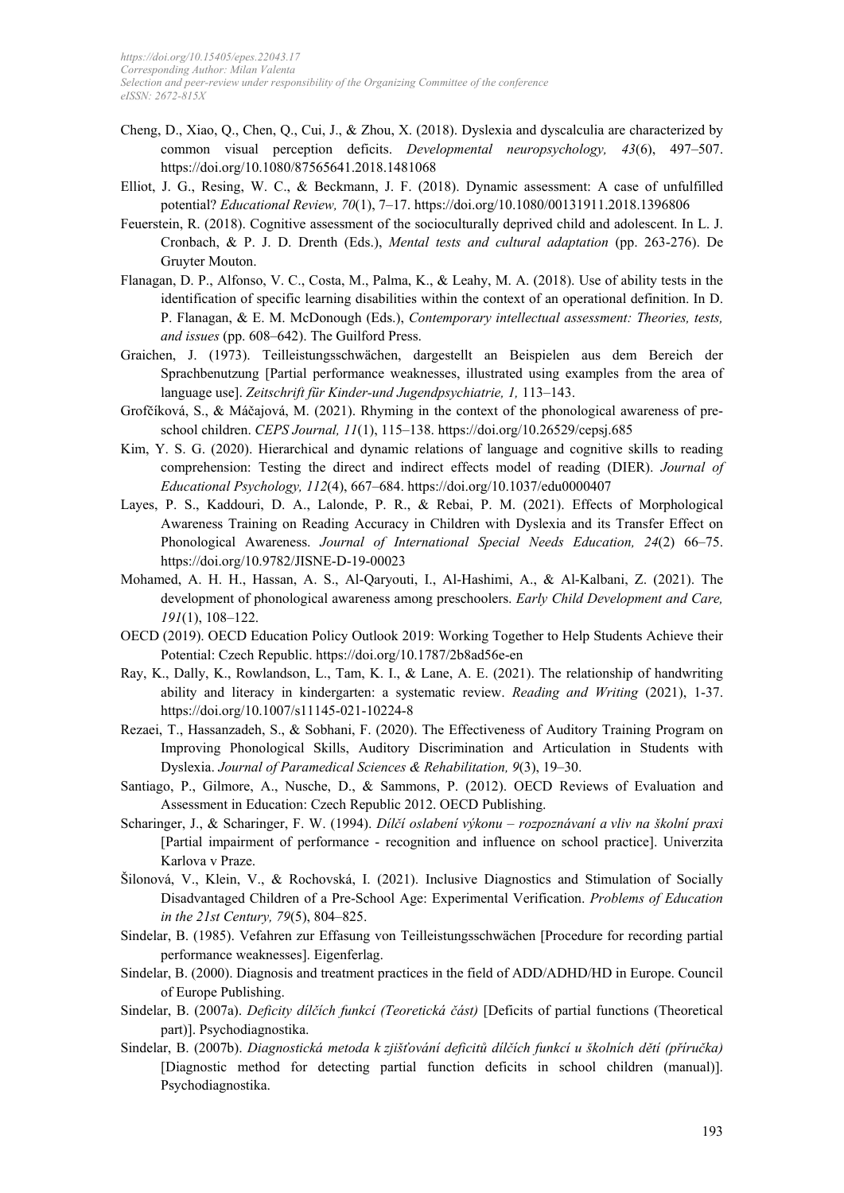- Cheng, D., Xiao, Q., Chen, Q., Cui, J., & Zhou, X. (2018). Dyslexia and dyscalculia are characterized by common visual perception deficits. *Developmental neuropsychology, 43*(6), 497–507. https://doi.org/10.1080/87565641.2018.1481068
- Elliot, J. G., Resing, W. C., & Beckmann, J. F. (2018). Dynamic assessment: A case of unfulfilled potential? *Educational Review, 70*(1), 7–17. https://doi.org/10.1080/00131911.2018.1396806
- Feuerstein, R. (2018). Cognitive assessment of the socioculturally deprived child and adolescent. In L. J. Cronbach, & P. J. D. Drenth (Eds.), *Mental tests and cultural adaptation* (pp. 263-276). De Gruyter Mouton.
- Flanagan, D. P., Alfonso, V. C., Costa, M., Palma, K., & Leahy, M. A. (2018). Use of ability tests in the identification of specific learning disabilities within the context of an operational definition. In D. P. Flanagan, & E. M. McDonough (Eds.), *Contemporary intellectual assessment: Theories, tests, and issues* (pp. 608–642). The Guilford Press.
- Graichen, J. (1973). Teilleistungsschwächen, dargestellt an Beispielen aus dem Bereich der Sprachbenutzung [Partial performance weaknesses, illustrated using examples from the area of language use]. *Zeitschrift für Kinder-und Jugendpsychiatrie, 1,* 113–143.
- Grofčíková, S., & Máčajová, M. (2021). Rhyming in the context of the phonological awareness of preschool children. *CEPS Journal, 11*(1), 115–138. https://doi.org/10.26529/cepsj.685
- Kim, Y. S. G. (2020). Hierarchical and dynamic relations of language and cognitive skills to reading comprehension: Testing the direct and indirect effects model of reading (DIER). *Journal of Educational Psychology, 112*(4), 667–684. https://doi.org/10.1037/edu0000407
- Layes, P. S., Kaddouri, D. A., Lalonde, P. R., & Rebai, P. M. (2021). Effects of Morphological Awareness Training on Reading Accuracy in Children with Dyslexia and its Transfer Effect on Phonological Awareness. *Journal of International Special Needs Education, 24*(2) 66–75. https://doi.org/10.9782/JISNE-D-19-00023
- Mohamed, A. H. H., Hassan, A. S., Al-Qaryouti, I., Al-Hashimi, A., & Al-Kalbani, Z. (2021). The development of phonological awareness among preschoolers. *Early Child Development and Care, 191*(1), 108–122.
- OECD (2019). OECD Education Policy Outlook 2019: Working Together to Help Students Achieve their Potential: Czech Republic. https://doi.org/10.1787/2b8ad56e-en
- Ray, K., Dally, K., Rowlandson, L., Tam, K. I., & Lane, A. E. (2021). The relationship of handwriting ability and literacy in kindergarten: a systematic review. *Reading and Writing* (2021), 1-37. https://doi.org/10.1007/s11145-021-10224-8
- Rezaei, T., Hassanzadeh, S., & Sobhani, F. (2020). The Effectiveness of Auditory Training Program on Improving Phonological Skills, Auditory Discrimination and Articulation in Students with Dyslexia. *Journal of Paramedical Sciences & Rehabilitation, 9*(3), 19–30.
- Santiago, P., Gilmore, A., Nusche, D., & Sammons, P. (2012). OECD Reviews of Evaluation and Assessment in Education: Czech Republic 2012. OECD Publishing.
- Scharinger, J., & Scharinger, F. W. (1994). *Dílčí oslabení výkonu – rozpoznávaní a vliv na školní praxi* [Partial impairment of performance - recognition and influence on school practice]. Univerzita Karlova v Praze.
- Šilonová, V., Klein, V., & Rochovská, I. (2021). Inclusive Diagnostics and Stimulation of Socially Disadvantaged Children of a Pre-School Age: Experimental Verification. *Problems of Education in the 21st Century, 79*(5), 804–825.
- Sindelar, B. (1985). Vefahren zur Effasung von Teilleistungsschwächen [Procedure for recording partial performance weaknesses]. Eigenferlag.
- Sindelar, B. (2000). Diagnosis and treatment practices in the field of ADD/ADHD/HD in Europe. Council of Europe Publishing.
- Sindelar, B. (2007a). *Deficity dílčích funkcí (Teoretická část)* [Deficits of partial functions (Theoretical part)]. Psychodiagnostika.
- Sindelar, B. (2007b). *Diagnostická metoda k zjišťování deficitů dílčích funkcí u školních dětí (příručka)* [Diagnostic method for detecting partial function deficits in school children (manual)]. Psychodiagnostika.